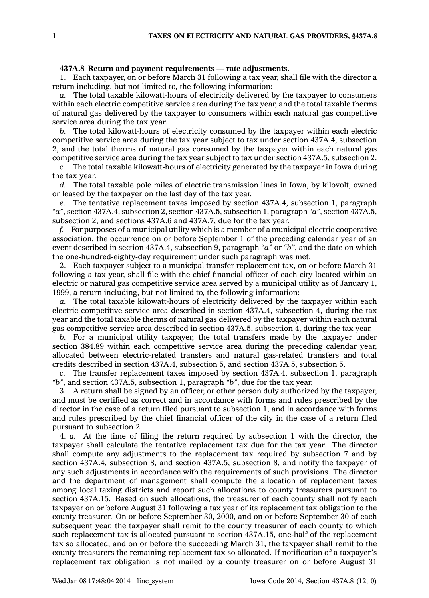## **437A.8 Return and payment requirements — rate adjustments.**

1. Each taxpayer, on or before March 31 following <sup>a</sup> tax year, shall file with the director <sup>a</sup> return including, but not limited to, the following information:

*a.* The total taxable kilowatt-hours of electricity delivered by the taxpayer to consumers within each electric competitive service area during the tax year, and the total taxable therms of natural gas delivered by the taxpayer to consumers within each natural gas competitive service area during the tax year.

*b.* The total kilowatt-hours of electricity consumed by the taxpayer within each electric competitive service area during the tax year subject to tax under section 437A.4, subsection 2, and the total therms of natural gas consumed by the taxpayer within each natural gas competitive service area during the tax year subject to tax under section 437A.5, subsection 2.

*c.* The total taxable kilowatt-hours of electricity generated by the taxpayer in Iowa during the tax year.

*d.* The total taxable pole miles of electric transmission lines in Iowa, by kilovolt, owned or leased by the taxpayer on the last day of the tax year.

*e.* The tentative replacement taxes imposed by section 437A.4, subsection 1, paragraph *"a"*, section 437A.4, subsection 2, section 437A.5, subsection 1, paragraph *"a"*, section 437A.5, subsection 2, and sections 437A.6 and 437A.7, due for the tax year.

*f.* For purposes of <sup>a</sup> municipal utility which is <sup>a</sup> member of <sup>a</sup> municipal electric cooperative association, the occurrence on or before September 1 of the preceding calendar year of an event described in section 437A.4, subsection 9, paragraph *"a"* or *"b"*, and the date on which the one-hundred-eighty-day requirement under such paragraph was met.

2. Each taxpayer subject to <sup>a</sup> municipal transfer replacement tax, on or before March 31 following <sup>a</sup> tax year, shall file with the chief financial officer of each city located within an electric or natural gas competitive service area served by <sup>a</sup> municipal utility as of January 1, 1999, <sup>a</sup> return including, but not limited to, the following information:

*a.* The total taxable kilowatt-hours of electricity delivered by the taxpayer within each electric competitive service area described in section 437A.4, subsection 4, during the tax year and the total taxable therms of natural gas delivered by the taxpayer within each natural gas competitive service area described in section 437A.5, subsection 4, during the tax year.

*b.* For <sup>a</sup> municipal utility taxpayer, the total transfers made by the taxpayer under section 384.89 within each competitive service area during the preceding calendar year, allocated between electric-related transfers and natural gas-related transfers and total credits described in section 437A.4, subsection 5, and section 437A.5, subsection 5.

*c.* The transfer replacement taxes imposed by section 437A.4, subsection 1, paragraph *"b"*, and section 437A.5, subsection 1, paragraph *"b"*, due for the tax year.

3. A return shall be signed by an officer, or other person duly authorized by the taxpayer, and must be certified as correct and in accordance with forms and rules prescribed by the director in the case of <sup>a</sup> return filed pursuant to subsection 1, and in accordance with forms and rules prescribed by the chief financial officer of the city in the case of <sup>a</sup> return filed pursuant to subsection 2.

4. *a.* At the time of filing the return required by subsection 1 with the director, the taxpayer shall calculate the tentative replacement tax due for the tax year. The director shall compute any adjustments to the replacement tax required by subsection 7 and by section 437A.4, subsection 8, and section 437A.5, subsection 8, and notify the taxpayer of any such adjustments in accordance with the requirements of such provisions. The director and the department of management shall compute the allocation of replacement taxes among local taxing districts and report such allocations to county treasurers pursuant to section 437A.15. Based on such allocations, the treasurer of each county shall notify each taxpayer on or before August 31 following <sup>a</sup> tax year of its replacement tax obligation to the county treasurer. On or before September 30, 2000, and on or before September 30 of each subsequent year, the taxpayer shall remit to the county treasurer of each county to which such replacement tax is allocated pursuant to section 437A.15, one-half of the replacement tax so allocated, and on or before the succeeding March 31, the taxpayer shall remit to the county treasurers the remaining replacement tax so allocated. If notification of <sup>a</sup> taxpayer's replacement tax obligation is not mailed by <sup>a</sup> county treasurer on or before August 31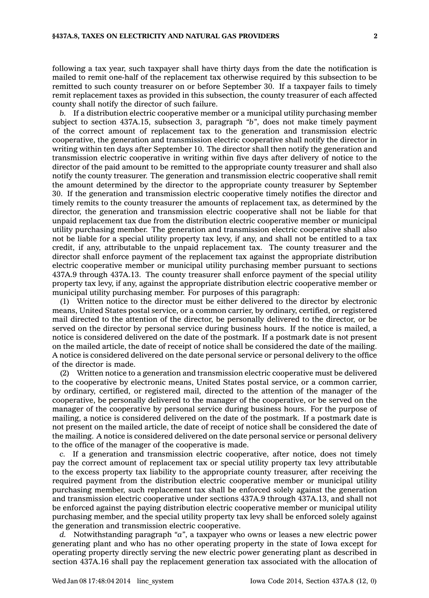following <sup>a</sup> tax year, such taxpayer shall have thirty days from the date the notification is mailed to remit one-half of the replacement tax otherwise required by this subsection to be remitted to such county treasurer on or before September 30. If <sup>a</sup> taxpayer fails to timely remit replacement taxes as provided in this subsection, the county treasurer of each affected county shall notify the director of such failure.

*b.* If <sup>a</sup> distribution electric cooperative member or <sup>a</sup> municipal utility purchasing member subject to section 437A.15, subsection 3, paragraph *"b"*, does not make timely payment of the correct amount of replacement tax to the generation and transmission electric cooperative, the generation and transmission electric cooperative shall notify the director in writing within ten days after September 10. The director shall then notify the generation and transmission electric cooperative in writing within five days after delivery of notice to the director of the paid amount to be remitted to the appropriate county treasurer and shall also notify the county treasurer. The generation and transmission electric cooperative shall remit the amount determined by the director to the appropriate county treasurer by September 30. If the generation and transmission electric cooperative timely notifies the director and timely remits to the county treasurer the amounts of replacement tax, as determined by the director, the generation and transmission electric cooperative shall not be liable for that unpaid replacement tax due from the distribution electric cooperative member or municipal utility purchasing member. The generation and transmission electric cooperative shall also not be liable for <sup>a</sup> special utility property tax levy, if any, and shall not be entitled to <sup>a</sup> tax credit, if any, attributable to the unpaid replacement tax. The county treasurer and the director shall enforce payment of the replacement tax against the appropriate distribution electric cooperative member or municipal utility purchasing member pursuant to sections 437A.9 through 437A.13. The county treasurer shall enforce payment of the special utility property tax levy, if any, against the appropriate distribution electric cooperative member or municipal utility purchasing member. For purposes of this paragraph:

(1) Written notice to the director must be either delivered to the director by electronic means, United States postal service, or <sup>a</sup> common carrier, by ordinary, certified, or registered mail directed to the attention of the director, be personally delivered to the director, or be served on the director by personal service during business hours. If the notice is mailed, <sup>a</sup> notice is considered delivered on the date of the postmark. If <sup>a</sup> postmark date is not present on the mailed article, the date of receipt of notice shall be considered the date of the mailing. A notice is considered delivered on the date personal service or personal delivery to the office of the director is made.

(2) Written notice to <sup>a</sup> generation and transmission electric cooperative must be delivered to the cooperative by electronic means, United States postal service, or <sup>a</sup> common carrier, by ordinary, certified, or registered mail, directed to the attention of the manager of the cooperative, be personally delivered to the manager of the cooperative, or be served on the manager of the cooperative by personal service during business hours. For the purpose of mailing, <sup>a</sup> notice is considered delivered on the date of the postmark. If <sup>a</sup> postmark date is not present on the mailed article, the date of receipt of notice shall be considered the date of the mailing. A notice is considered delivered on the date personal service or personal delivery to the office of the manager of the cooperative is made.

*c.* If <sup>a</sup> generation and transmission electric cooperative, after notice, does not timely pay the correct amount of replacement tax or special utility property tax levy attributable to the excess property tax liability to the appropriate county treasurer, after receiving the required payment from the distribution electric cooperative member or municipal utility purchasing member, such replacement tax shall be enforced solely against the generation and transmission electric cooperative under sections 437A.9 through 437A.13, and shall not be enforced against the paying distribution electric cooperative member or municipal utility purchasing member, and the special utility property tax levy shall be enforced solely against the generation and transmission electric cooperative.

*d.* Notwithstanding paragraph *"a"*, <sup>a</sup> taxpayer who owns or leases <sup>a</sup> new electric power generating plant and who has no other operating property in the state of Iowa except for operating property directly serving the new electric power generating plant as described in section 437A.16 shall pay the replacement generation tax associated with the allocation of